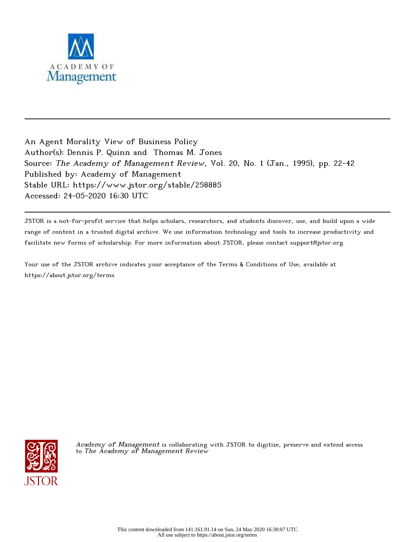

An Agent Morality View of Business Policy Author(s): Dennis P. Quinn and Thomas M. Jones Source: The Academy of Management Review, Vol. 20, No. 1 (Jan., 1995), pp. 22-42 Published by: Academy of Management Stable URL: https://www.jstor.org/stable/258885 Accessed: 24-05-2020 16:30 UTC

JSTOR is a not-for-profit service that helps scholars, researchers, and students discover, use, and build upon a wide range of content in a trusted digital archive. We use information technology and tools to increase productivity and facilitate new forms of scholarship. For more information about JSTOR, please contact support@jstor.org.

Your use of the JSTOR archive indicates your acceptance of the Terms & Conditions of Use, available at https://about.jstor.org/terms



Academy of Management is collaborating with JSTOR to digitize, preserve and extend access to The Academy of Management Review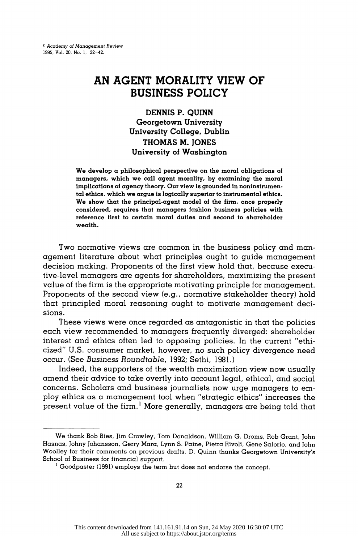# AN AGENT MORALITY VIEW OF BUSINESS POLICY

# DENNIS P. QUINN Georgetown University University College, Dublin THOMAS M. JONES University of Washington

We develop a philosophical perspective on the moral obligations of managers, which we call agent morality, by examining the moral implications of agency theory. Our view is grounded in noninstrumen tal ethics, which we argue is logically superior to instrumental ethics. We show that the principal-agent model of the firm, once properly considered, requires that managers fashion business policies with reference first to certain moral duties and second to shareholder wealth.

 Two normative views are common in the business policy and man agement literature about what principles ought to guide management decision making. Proponents of the first view hold that, because execu tive-level managers are agents for shareholders, maximizing the present value of the firm is the appropriate motivating principle for management. Proponents of the second view (e.g., normative stakeholder theory) hold that principled moral reasoning ought to motivate management deci sions.

 These views were once regarded as antagonistic in that the policies each view recommended to managers frequently diverged: shareholder interest and ethics often led to opposing policies. In the current "ethi cized" U.S. consumer market, however, no such policy divergence need occur. (See Business Roundtable, 1992; Sethi, 1981.)

 Indeed, the supporters of the wealth maximization view now usually amend their advice to take overtly into account legal, ethical, and social concerns. Scholars and business journalists now urge managers to em ploy ethics as a management tool when "strategic ethics" increases the present value of the firm.<sup>1</sup> More generally, managers are being told that

We thank Bob Bies, Jim Crowley, Tom Donaldson, William G. Droms, Rob Grant, John Hasnas, Johny Johansson, Gerry Mara, Lynn S. Paine, Pietra Rivoli, Gene Salorio, and John Woolley for their comments on previous drafts. D. Quinn thanks Georgetown University's School of Business for financial support.

 $1$  Goodpaster (1991) employs the term but does not endorse the concept.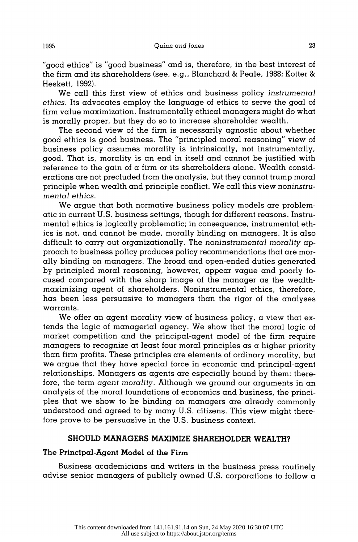"good ethics" is "good business" and is, therefore, in the best interest of the firm and its shareholders (see, e.g., Blanchard & Peale, 1988; Kotter & Heskett, 1992).

 We call this first view of ethics and business policy instrumental ethics. Its advocates employ the language of ethics to serve the goal of firm value maximization. Instrumentally ethical managers might do what is morally proper, but they do so to increase shareholder wealth.

 The second view of the firm is necessarily agnostic about whether good ethics is good business. The "principled moral reasoning" view of business policy assumes morality is intrinsically, not instrumentally, good. That is, morality is an end in itself and cannot be justified with reference to the gain of a firm or its shareholders alone. Wealth consid erations are not precluded from the analysis, but they cannot trump moral principle when wealth and principle conflict. We call this view noninstru mental ethics.

 We argue that both normative business policy models are problem atic in current U.S. business settings, though for different reasons. Instru mental ethics is logically problematic; in consequence, instrumental eth ics is not, and cannot be made, morally binding on managers. It is also difficult to carry out organizationally. The noninstrumental morality ap proach to business policy produces policy recommendations that are mor ally binding on managers. The broad and open-ended duties generated by principled moral reasoning, however, appear vague and poorly fo cused compared with the sharp image of the manager as the wealth maximizing agent of shareholders. Noninstrumental ethics, therefore, has been less persuasive to managers than the rigor of the analyses warrants.

We offer an agent morality view of business policy,  $\alpha$  view that ex tends the logic of managerial agency. We show that the moral logic of market competition and the principal-agent model of the firm require managers to recognize at least four moral principles as a higher priority than firm profits. These principles are elements of ordinary morality, but we argue that they have special force in economic and principal-agent relationships. Managers as agents are especially bound by them: there fore, the term agent morality. Although we ground our arguments in an analysis of the moral foundations of economics and business, the princi ples that we show to be binding on managers are already commonly understood and agreed to by many U.S. citizens. This view might there fore prove to be persuasive in the U.S. business context.

#### SHOULD MANAGERS MAXIMIZE SHAREHOLDER WEALTH?

#### The Principal-Agent Model of the Firm

 Business academicians and writers in the business press routinely advise senior managers of publicly owned U.S. corporations to follow  $\alpha$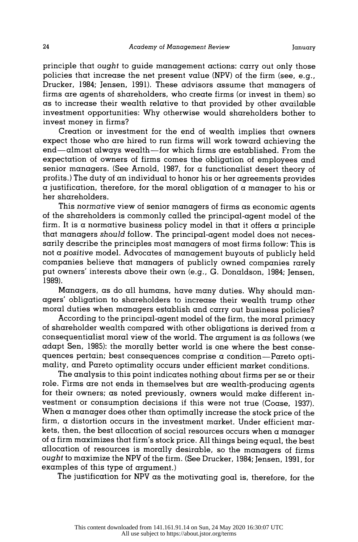principle that ought to guide management actions: carry out only those policies that increase the net present value (NPV) of the firm (see, e.g., Drucker, 1984; Jensen, 1991). These advisors assume that managers of firms are agents of shareholders, who create firms (or invest in them) so as to increase their wealth relative to that provided by other available investment opportunities: Why otherwise would shareholders bother to invest money in firms?

 Creation or investment for the end of wealth implies that owners expect those who are hired to run firms will work toward achieving the end-almost always wealth-for which firms are established. From the expectation of owners of firms comes the obligation of employees and senior managers. (See Arnold, 1987, for a functionalist desert theory of profits.) The duty of an individual to honor his or her agreements provides  $\alpha$  justification, therefore, for the moral obligation of  $\alpha$  manager to his or her shareholders.

 This normative view of senior managers of firms as economic agents of the shareholders is commonly called the principal-agent model of the firm. It is a normative business policy model in that it offers a principle that managers should follow. The principal-agent model does not neces sarily describe the principles most managers of most firms follow: This is not a positive model. Advocates of management buyouts of publicly held companies believe that managers of publicly owned companies rarely put owners' interests above their own (e.g., G. Donaldson, 1984; Jensen, 1989).

 Managers, as do all humans, have many duties. Why should man agers' obligation to shareholders to increase their wealth trump other moral duties when managers establish and carry out business policies?

 According to the principal-agent model of the firm, the moral primacy of shareholder wealth compared with other obligations is derived from  $\alpha$  consequentialist moral view of the world. The argument is as follows (we adapt Sen, 1985): the morally better world is one where the best conse quences pertain; best consequences comprise  $\alpha$  condition-Pareto optimality, and Pareto optimality occurs under efficient market conditions.

 The analysis to this point indicates nothing about firms per se or their role. Firms are not ends in themselves but are wealth-producing agents for their owners; as noted previously, owners would make different in vestment or consumption decisions if this were not true (Coase, 1937). When a manager does other than optimally increase the stock price of the firm, a distortion occurs in the investment market. Under efficient mar kets, then, the best allocation of social resources occurs when a manager of a firm maximizes that firm's stock price. All things being equal, the best allocation of resources is morally desirable, so the managers of firms ought to maximize the NPV of the firm. (See Drucker, 1984; Jensen, 1991, for examples of this type of argument.)

The justification for NPV as the motivating goal is, therefore, for the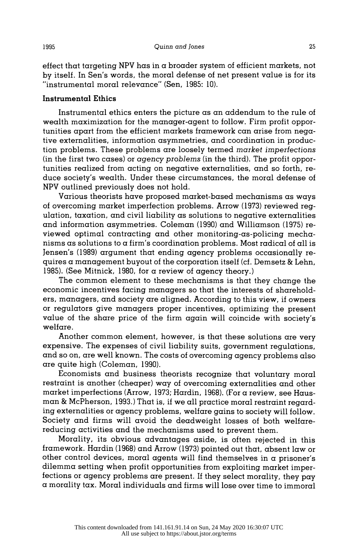effect that targeting NPV has in a broader system of efficient markets, not by itself. In Sen's words, the moral defense of net present value is for its "instrumental moral relevance" (Sen, 1985: 10).

# Instrumental Ethics

 Instrumental ethics enters the picture as an addendum to the rule of wealth maximization for the manager-agent to follow. Firm profit oppor tunities apart from the efficient markets framework can arise from nega tive externalities, information asymmetries, and coordination in produc tion problems. These problems are loosely termed market imperfections (in the first two cases) or agency problems (in the third). The profit oppor tunities realized from acting on negative externalities, and so forth, re duce society's wealth. Under these circumstances, the moral defense of NPV outlined previously does not hold.

 Various theorists have proposed market-based mechanisms as ways of overcoming market imperfection problems. Arrow (1973) reviewed reg ulation, taxation, and civil liability as solutions to negative externalities and information asymmetries. Coleman (1990) and Williamson (1975) re viewed optimal contracting and other monitoring-as-policing mecha nisms as solutions to a firm's coordination problems. Most radical of all is Jensen's (1989) argument that ending agency problems occasionally re quires a management buyout of the corporation itself (cf. Demsetz & Lehn, 1985). (See Mitnick, 1980, for a review of agency theory.)

 The common element to these mechanisms is that they change the economic incentives facing managers so that the interests of sharehold ers, managers, and society are aligned. According to this view, if owners or regulators give managers proper incentives, optimizing the present value of the share price of the firm again will coincide with society's welfare.

 Another common element, however, is that these solutions are very expensive. The expenses of civil liability suits, government regulations, and so on, are well known. The costs of overcoming agency problems also are quite high (Coleman, 1990).

 Economists and business theorists recognize that voluntary moral restraint is another (cheaper) way of overcoming externalities and other market imperfections (Arrow, 1973; Hardin, 1968). (For a review, see Haus man & McPherson, 1993.) That is, if we all practice moral restraint regard ing externalities or agency problems, welfare gains to society will follow. Society and firms will avoid the deadweight losses of both welfare reducing activities and the mechanisms used to prevent them.

 Morality, its obvious advantages aside, is often rejected in this framework. Hardin (1968) and Arrow (1973) pointed out that, absent law or other control devices, moral agents will find themselves in  $\alpha$  prisoner's dilemma setting when profit opportunities from exploiting market imper fections or agency problems are present. If they select morality, they pay a morality tax. Moral individuals and firms will lose over time to immoral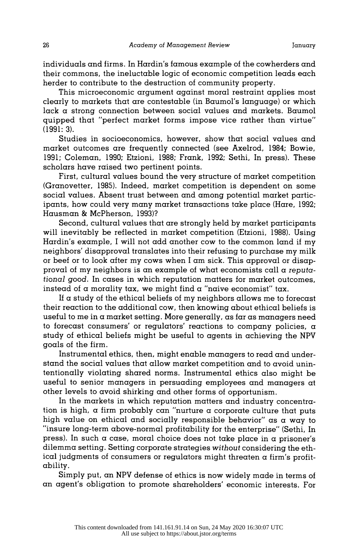individuals and firms. In Hardin's famous example of the cowherders and their commons, the ineluctable logic of economic competition leads each herder to contribute to the destruction of community property.

 This microeconomic argument against moral restraint applies most clearly to markets that are contestable (in Baumol's language) or which lack a strong connection between social values and markets. Baumol quipped that "perfect market forms impose vice rather than virtue" (1991: 3).

 Studies in socioeconomics, however, show that social values and market outcomes are frequently connected (see Axelrod, 1984; Bowie, 1991; Coleman, 1990; Etzioni, 1988; Frank, 1992; Sethi, In press). These scholars have raised two pertinent points.

 First, cultural values bound the very structure of market competition (Granovetter, 1985). Indeed, market competition is dependent on some social values. Absent trust between and among potential market partic ipants, how could very many market transactions take place (Hare, 1992; Hausman & McPherson, 1993)?

 Second, cultural values that are strongly held by market participants will inevitably be reflected in market competition (Etzioni, 1988). Using Hardin's example, I will not add another cow to the common land if my neighbors' disapproval translates into their refusing to purchase my milk or beef or to look after my cows when I am sick. This approval or disap proval of my neighbors is an example of what economists call a reputa tional good. In cases in which reputation matters for market outcomes, instead of a morality tax, we might find a "naive economist" tax.

If  $\alpha$  study of the ethical beliefs of my neighbors allows me to forecast their reaction to the additional cow, then knowing about ethical beliefs is useful to me in a market setting. More generally, as far as managers need to forecast consumers' or regulators' reactions to company policies, a study of ethical beliefs might be useful to agents in achieving the NPV goals of the firm.

 Instrumental ethics, then, might enable managers to read and under stand the social values that allow market competition and to avoid unin tentionally violating shared norms. Instrumental ethics also might be useful to senior managers in persuading employees and managers at other levels to avoid shirking and other forms of opportunism.

 In the markets in which reputation matters and industry concentra tion is high,  $\alpha$  firm probably can "nurture  $\alpha$  corporate culture that puts high value on ethical and socially responsible behavior" as a way to "insure long-term above-normal profitability for the enterprise" (Sethi, In press). In such a case, moral choice does not take place in a prisoner's dilemma setting. Setting corporate strategies without considering the eth ical judgments of consumers or regulators might threaten a firm's profit ability.

 Simply put, an NPV defense of ethics is now widely made in terms of an agent's obligation to promote shareholders' economic interests. For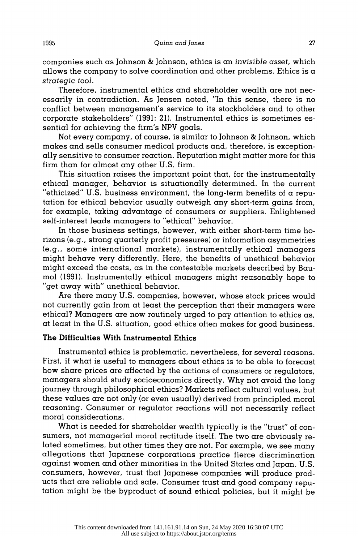companies such as Johnson & Johnson, ethics is an invisible asset, which allows the company to solve coordination and other problems. Ethics is  $\alpha$ strategic tool.

 Therefore, instrumental ethics and shareholder wealth are not nec essarily in contradiction. As Jensen noted, "In this sense, there is no conflict between management's service to its stockholders and to other corporate stakeholders" (1991: 21). Instrumental ethics is sometimes es sential for achieving the firm's NPV goals.

 Not every company, of course, is similar to Johnson & Johnson, which makes and sells consumer medical products and, therefore, is exception ally sensitive to consumer reaction. Reputation might matter more for this firm than for almost any other U.S. firm.

 This situation raises the important point that, for the instrumentally ethical manager, behavior is situationally determined. In the current "ethicized" U.S. business environment, the long-term benefits of  $\alpha$  repu tation for ethical behavior usually outweigh any short-term gains from, for example, taking advantage of consumers or suppliers. Enlightened self-interest leads managers to "ethical" behavior.

 In those business settings, however, with either short-term time ho rizons (e.g., strong quarterly profit pressures) or information asymmetries (e.g., some international markets), instrumentally ethical managers might behave very differently. Here, the benefits of unethical behavior might exceed the costs, as in the contestable markets described by Bau mol (1991). Instrumentally ethical managers might reasonably hope to "get away with" unethical behavior.

 Are there many U.S. companies, however, whose stock prices would not currently gain from at least the perception that their managers were ethical? Managers are now routinely urged to pay attention to ethics as, at least in the U.S. situation, good ethics often makes for good business.

# The Difficulties With Instrumental Ethics

 Instrumental ethics is problematic, nevertheless, for several reasons. First, if what is useful to managers about ethics is to be able to forecast how share prices are affected by the actions of consumers or regulators, managers should study socioeconomics directly. Why not avoid the long journey through philosophical ethics? Markets reflect cultural values, but these values are not only (or even usually) derived from principled moral reasoning. Consumer or regulator reactions will not necessarily reflect moral considerations.

 What is needed for shareholder wealth typically is the "trust" of con sumers, not managerial moral rectitude itself. The two are obviously re lated sometimes, but other times they are not. For example, we see many allegations that Japanese corporations practice fierce discrimination against women and other minorities in the United States and Japan. U.S. consumers, however, trust that Japanese companies will produce prod ucts that are reliable and safe. Consumer trust and good company repu tation might be the byproduct of sound ethical policies, but it might be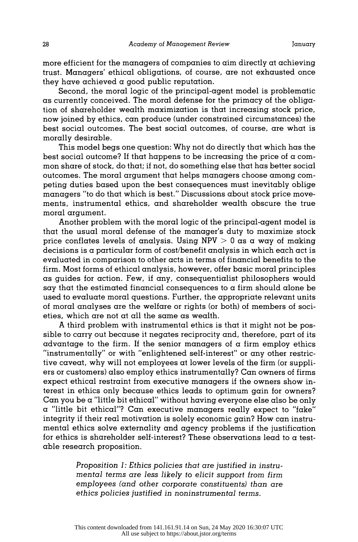more efficient for the managers of companies to aim directly at achieving trust. Managers' ethical obligations, of course, are not exhausted once they have achieved  $\alpha$  good public reputation.

 Second, the moral logic of the principal-agent model is problematic as currently conceived. The moral defense for the primacy of the obliga tion of shareholder wealth maximization is that increasing stock price, now joined by ethics, can produce (under constrained circumstances) the best social outcomes. The best social outcomes, of course, are what is morally desirable.

 This model begs one question: Why not do directly that which has the best social outcome? If that happens to be increasing the price of  $\alpha$  com mon share of stock, do that; if not, do something else that has better social outcomes. The moral argument that helps managers choose among com peting duties based upon the best consequences must inevitably oblige managers "to do that which is best." Discussions about stock price move ments, instrumental ethics, and shareholder wealth obscure the true moral argument.

 Another problem with the moral logic of the principal-agent model is that the usual moral defense of the manager's duty to maximize stock price conflates levels of analysis. Using NPV  $> 0$  as a way of making decisions is a particular form of cost/benefit analysis in which each act is evaluated in comparison to other acts in terms of financial benefits to the firm. Most forms of ethical analysis, however, offer basic moral principles as guides for action. Few, if any, consequentialist philosophers would say that the estimated financial consequences to a firm should alone be used to evaluate moral questions. Further, the appropriate relevant units of moral analyses are the welfare or rights (or both) of members of soci eties, which are not at all the same as wealth.

 A third problem with instrumental ethics is that it might not be pos sible to carry out because it negates reciprocity and, therefore, part of its advantage to the firm. If the senior managers of a firm employ ethics "instrumentally" or with "enlightened self-interest" or any other restric tive caveat, why will not employees at lower levels of the firm (or suppli ers or customers) also employ ethics instrumentally? Can owners of firms expect ethical restraint from executive managers if the owners show in terest in ethics only because ethics leads to optimum gain for owners? Can you be a "little bit ethical" without having everyone else also be only a "little bit ethical"? Can executive managers really expect to "fake" integrity if their real motivation is solely economic gain? How can instru mental ethics solve externality and agency problems if the justification for ethics is shareholder self-interest? These observations lead to a test able research proposition.

> Proposition 1: Ethics policies that are justified in instru mental terms are less likely to elicit support from firm employees (and other corporate constituents) than are ethics policies justified in noninstrumental terms.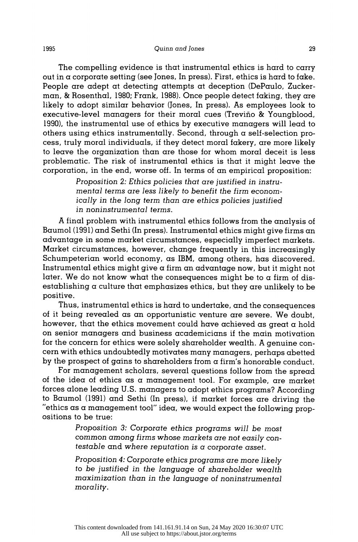The compelling evidence is that instrumental ethics is hard to carry out in a corporate setting (see Jones, In press). First, ethics is hard to fake. People are adept at detecting attempts at deception (DePaulo, Zucker man, & Rosenthal, 1980; Frank, 1988). Once people detect faking, they are likely to adopt similar behavior (Jones, In press). As employees look to executive-level managers for their moral cues (Treviño & Youngblood, 1990), the instrumental use of ethics by executive managers will lead to others using ethics instrumentally. Second, through  $\alpha$  self-selection pro cess, truly moral individuals, if they detect moral fakery, are more likely to leave the organization than are those for whom moral deceit is less problematic. The risk of instrumental ethics is that it might leave the corporation, in the end, worse off. In terms of an empirical proposition:

> Proposition 2: Ethics policies that are justified in instru mental terms are less likely to benefit the firm econom ically in the long term than are ethics policies justified in noninstrumental terms.

 A final problem with instrumental ethics follows from the analysis of Baumol (1991) and Sethi (In press). Instrumental ethics might give firms an advantage in some market circumstances, especially imperfect markets. Market circumstances, however, change frequently in this increasingly Schumpeterian world economy, as IBM, among others, has discovered. Instrumental ethics might give a firm an advantage now, but it might not later. We do not know what the consequences might be to a firm of disestablishing  $\alpha$  culture that emphasizes ethics, but they are unlikely to be positive.

 Thus, instrumental ethics is hard to undertake, and the consequences of it being revealed as an opportunistic venture are severe. We doubt, however, that the ethics movement could have achieved as great a hold on senior managers and business academicians if the main motivation for the concern for ethics were solely shareholder wealth. A genuine con cern with ethics undoubtedly motivates many managers, perhaps abetted by the prospect of gains to shareholders from a firm's honorable conduct.

 For management scholars, several questions follow from the spread of the idea of ethics as a management tool. For example, are market forces alone leading U.S. managers to adopt ethics programs? According to Baumol (1991) and Sethi (In press), if market forces are driving the "ethics as a management tool" idea, we would expect the following propositions to be true:

> Proposition 3: Corporate ethics programs will be most common among firms whose markets are not easily con testable and where reputation is a corporate asset.

> Proposition 4: Corporate ethics programs are more likely to be justified in the language of shareholder wealth maximization than in the language of noninstrumental morality.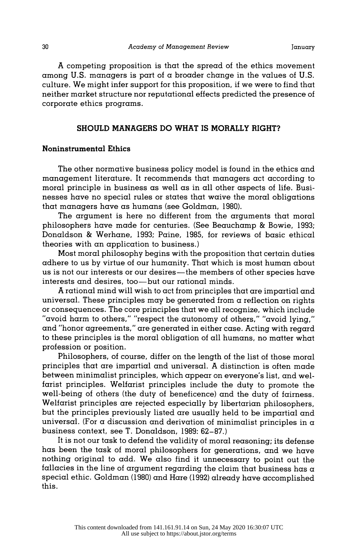A competing proposition is that the spread of the ethics movement among U.S. managers is part of a broader change in the values of U.S. culture. We might infer support for this proposition, if we were to find that neither market structure nor reputational effects predicted the presence of corporate ethics programs.

# SHOULD MANAGERS DO WHAT IS MORALLY RIGHT?

#### Noninstrumental Ethics

The other normative business policy model is found in the ethics and management literature. It recommends that managers act according to moral principle in business as well as in all other aspects of life. Busi nesses have no special rules or states that waive the moral obligations that managers have as humans (see Goldman, 1980).

 The argument is here no different from the arguments that moral philosophers have made for centuries. (See Beauchamp & Bowie, 1993; Donaldson & Werhane, 1993; Paine, 1985, for reviews of basic ethical theories with an application to business.)

 Most moral philosophy begins with the proposition that certain duties adhere to us by virtue of our humanity. That which is most human about us is not our interests or our desires-the members of other species have interests and desires, too-but our rational minds.

 A rational mind will wish to act from principles that are impartial and universal. These principles may be generated from  $\alpha$  reflection on rights or consequences. The core principles that we all recognize, which include "avoid harm to others," "respect the autonomy of others," "avoid lying," and "honor agreements," are generated in either case. Acting with regard to these principles is the moral obligation of all humans, no matter what profession or position.

 Philosophers, of course, differ on the length of the list of those moral principles that are impartial and universal. A distinction is often made between minimalist principles, which appear on everyone's list, and wel farist principles. Welfarist principles include the duty to promote the well-being of others (the duty of beneficence) and the duty of fairness. Welfarist principles are rejected especially by libertarian philosophers, but the principles previously listed are usually held to be impartial and universal. (For a discussion and derivation of minimalist principles in  $\alpha$ business context, see T. Donaldson, 1989: 62-87.)

 It is not our task to defend the validity of moral reasoning; its defense has been the task of moral philosophers for generations, and we have nothing original to add. We also find it unnecessary to point out the fallacies in the line of argument regarding the claim that business has a special ethic. Goldman (1980) and Hare (1992) already have accomplished this.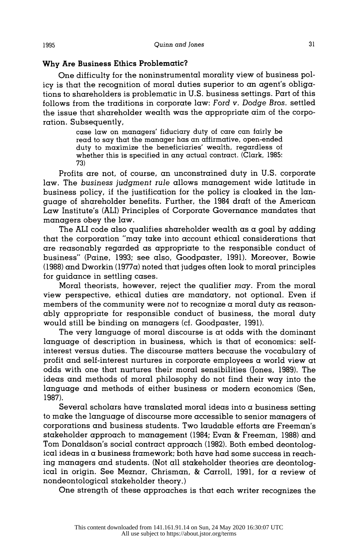# Why Are Business Ethics Problematic?

 One difficulty for the noninstrumental morality view of business pol icy is that the recognition of moral duties superior to an agent's obliga tions to shareholders is problematic in U.S. business settings. Part of this follows from the traditions in corporate law: Ford v. Dodge Bros. settled the issue that shareholder wealth was the appropriate aim of the corpo ration. Subsequently,

> case law on managers' fiduciary duty of care can fairly be read to say that the manager has an affirmative, open-ended duty to maximize the beneficiaries' wealth, regardless of whether this is specified in any actual contract. (Clark, 1985: 73)

 Profits are not, of course, an unconstrained duty in U.S. corporate law. The business judgment rule allows management wide latitude in business policy, if the justification for the policy is cloaked in the lan guage of shareholder benefits. Further, the 1984 draft of the American Law Institute's (ALI) Principles of Corporate Governance mandates that managers obey the law.

The ALI code also qualifies shareholder wealth as a goal by adding that the corporation "may take into account ethical considerations that are reasonably regarded as appropriate to the responsible conduct of business" (Paine, 1993; see also, Goodpaster, 1991). Moreover, Bowie (1988) and Dworkin (1977a) noted that judges often look to moral principles for guidance in settling cases.

 Moral theorists, however, reject the qualifier may. From the moral view perspective, ethical duties are mandatory, not optional. Even if members of the community were not to recognize  $\alpha$  moral duty as reason ably appropriate for responsible conduct of business, the moral duty would still be binding on managers (cf. Goodpaster, 1991).

 The very language of moral discourse is at odds with the dominant language of description in business, which is that of economics: self interest versus duties. The discourse matters because the vocabulary of profit and self-interest nurtures in corporate employees a world view at odds with one that nurtures their moral sensibilities (Jones, 1989). The ideas and methods of moral philosophy do not find their way into the language and methods of either business or modern economics (Sen, 1987).

 Several scholars have translated moral ideas into a business setting to make the language of discourse more accessible to senior managers of corporations and business students. Two laudable efforts are Freeman's stakeholder approach to management (1984; Evan & Freeman, 1988) and Tom Donaldson's social contract approach (1982). Both embed deontolog ical ideas in a business framework; both have had some success in reach ing managers and students. (Not all stakeholder theories are deontolog ical in origin. See Meznar, Chrisman, & Carroll, 1991, for a review of nondeontological stakeholder theory.)

One strength of these approaches is that each writer recognizes the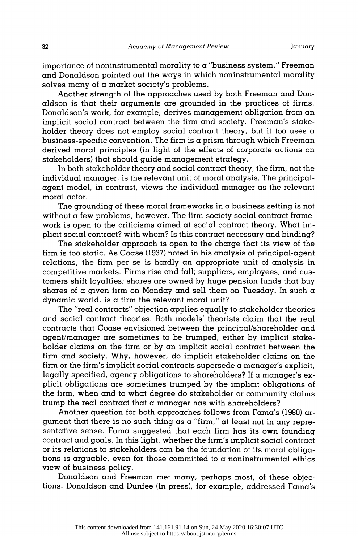importance of noninstrumental morality to  $\alpha$  "business system." Freeman and Donaldson pointed out the ways in which noninstrumental morality solves many of a market society's problems.

 Another strength of the approaches used by both Freeman and Don aldson is that their arguments are grounded in the practices of firms. Donaldson's work, for example, derives management obligation from an implicit social contract between the firm and society. Freeman's stake holder theory does not employ social contract theory, but it too uses  $\alpha$ business-specific convention. The firm is  $\alpha$  prism through which Freeman derived moral principles (in light of the effects of corporate actions on stakeholders) that should guide management strategy.

 In both stakeholder theory and social contract theory, the firm, not the individual manager, is the relevant unit of moral analysis. The principal agent model, in contrast, views the individual manager as the relevant moral actor.

The grounding of these moral frameworks in a business setting is not without  $\alpha$  few problems, however. The firm-society social contract frame work is open to the criticisms aimed at social contract theory. What im plicit social contract? with whom? Is this contract necessary and binding?

 The stakeholder approach is open to the charge that its view of the firm is too static. As Coase (1937) noted in his analysis of principal-agent relations, the firm per se is hardly an appropriate unit of analysis in competitive markets. Firms rise and fall; suppliers, employees, and cus tomers shift loyalties; shares are owned by huge pension funds that buy shares of a given firm on Monday and sell them on Tuesday. In such  $\alpha$ dynamic world, is a firm the relevant moral unit?

 The "real contracts" objection applies equally to stakeholder theories and social contract theories. Both models' theorists claim that the real contracts that Coase envisioned between the principal/shareholder and agent/manager are sometimes to be trumped, either by implicit stake holder claims on the firm or by an implicit social contract between the firm and society. Why, however, do implicit stakeholder claims on the firm or the firm's implicit social contracts supersede  $\alpha$  manager's explicit, legally specified, agency obligations to shareholders? If a manager's ex plicit obligations are sometimes trumped by the implicit obligations of the firm, when and to what degree do stakeholder or community claims trump the real contract that a manager has with shareholders?

 Another question for both approaches follows from Fama's (1980) ar gument that there is no such thing as  $\alpha$  "firm," at least not in any repre sentative sense. Fama suggested that each firm has its own founding contract and goals. In this light, whether the firm's implicit social contract or its relations to stakeholders can be the foundation of its moral obliga tions is arguable, even for those committed to a noninstrumental ethics view of business policy.

 Donaldson and Freeman met many, perhaps most, of these objec tions. Donaldson and Dunfee (In press), for example, addressed Fama's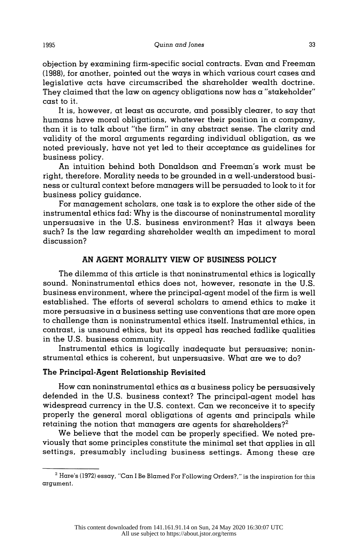objection by examining firm-specific social contracts. Evan and Freeman (1988), for another, pointed out the ways in which various court cases and legislative acts have circumscribed the shareholder wealth doctrine. They claimed that the law on agency obligations now has a "stakeholder" cast to it.

 It is, however, at least as accurate, and possibly clearer, to say that humans have moral obligations, whatever their position in  $\alpha$  company, than it is to talk about "the firm" in any abstract sense. The clarity and validity of the moral arguments regarding individual obligation, as we noted previously, have not yet led to their acceptance as guidelines for business policy.

 An intuition behind both Donaldson and Freeman's work must be right, therefore. Morality needs to be grounded in a well-understood busi ness or cultural context before managers will be persuaded to look to it for business policy guidance.

 For management scholars, one task is to explore the other side of the instrumental ethics fad: Why is the discourse of noninstrumental morality unpersuasive in the U.S. business environment? Has it always been such? Is the law regarding shareholder wealth an impediment to moral discussion?

# AN AGENT MORALITY VIEW OF BUSINESS POLICY

 The dilemma of this article is that noninstrumental ethics is logically sound. Noninstrumental ethics does not, however, resonate in the U.S. business environment, where the principal-agent model of the firm is well established. The efforts of several scholars to amend ethics to make it more persuasive in a business setting use conventions that are more open to challenge than is noninstrumental ethics itself. Instrumental ethics, in contrast, is unsound ethics, but its appeal has reached fadlike qualities in the U.S. business community.

 Instrumental ethics is logically inadequate but persuasive; nonin strumental ethics is coherent, but unpersuasive. What are we to do?

#### The Principal-Agent Relationship Revisited

 How can noninstrumental ethics as a business policy be persuasively defended in the U.S. business context? The principal-agent model has widespread currency in the U.S. context. Can we reconceive it to specify properly the general moral obligations of agents and principals while retaining the notion that managers are agents for shareholders?<sup>2</sup>

 We believe that the model can be properly specified. We noted pre viously that some principles constitute the minimal set that applies in all settings, presumably including business settings. Among these are

 $^2$  Hare's (1972) essay, "Can I Be Blamed For Following Orders?," is the inspiration for this argument.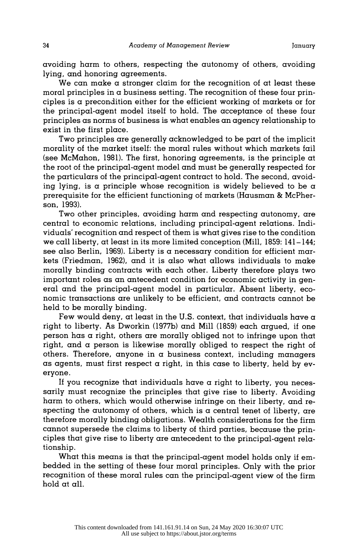avoiding harm to others, respecting the autonomy of others, avoiding lying, and honoring agreements.

We can make a stronger claim for the recognition of at least these moral principles in  $\alpha$  business setting. The recognition of these four prin ciples is a precondition either for the efficient working of markets or for the principal-agent model itself to hold. The acceptance of these four principles as norms of business is what enables an agency relationship to exist in the first place.

 Two principles are generally acknowledged to be part of the implicit morality of the market itself: the moral rules without which markets fail (see McMahon, 1981). The first, honoring agreements, is the principle at the root of the principal-agent model and must be generally respected for the particulars of the principal-agent contract to hold. The second, avoid ing lying, is a principle whose recognition is widely believed to be  $\alpha$  prerequisite for the efficient functioning of markets (Hausman & McPher son, 1993).

 Two other principles, avoiding harm and respecting autonomy, are central to economic relations, including principal-agent relations. Indi viduals' recognition and respect of them is what gives rise to the condition we call liberty, at least in its more limited conception (Mill,  $1859: 141-144;$ see also Berlin, 1969). Liberty is a necessary condition for efficient mar kets (Friedman, 1962), and it is also what allows individuals to make morally binding contracts with each other. Liberty therefore plays two important roles as an antecedent condition for economic activity in gen eral and the principal-agent model in particular. Absent liberty, eco nomic transactions are unlikely to be efficient, and contracts cannot be held to be morally binding.

Few would deny, at least in the U.S. context, that individuals have  $\alpha$  right to liberty. As Dworkin (1977b) and Mill (1859) each argued, if one person has a right, others are morally obliged not to infringe upon that right, and a person is likewise morally obliged to respect the right of others. Therefore, anyone in a business context, including managers as agents, must first respect a right, in this case to liberty, held by ev eryone.

If you recognize that individuals have a right to liberty, you neces sarily must recognize the principles that give rise to liberty. Avoiding harm to others, which would otherwise infringe on their liberty, and re specting the autonomy of others, which is a central tenet of liberty, are therefore morally binding obligations. Wealth considerations for the firm cannot supersede the claims to liberty of third parties, because the prin ciples that give rise to liberty are antecedent to the principal-agent rela tionship.

 What this means is that the principal-agent model holds only if em bedded in the setting of these four moral principles. Only with the prior recognition of these moral rules can the principal-agent view of the firm hold at all.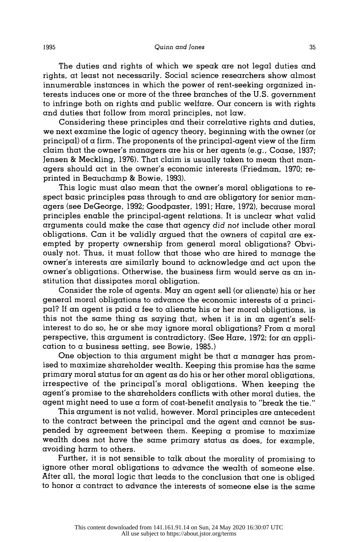1995 Quinn and Jones 35

 The duties and rights of which we speak are not legal duties and rights, at least not necessarily. Social science researchers show almost innumerable instances in which the power of rent-seeking organized in terests induces one or more of the three branches of the U.S. government to infringe both on rights and public welfare. Our concern is with rights and duties that follow from moral principles, not law.

 Considering these principles and their correlative rights and duties, we next examine the logic of agency theory, beginning with the owner (or principal) of a firm. The proponents of the principal-agent view of the firm claim that the owner's managers are his or her agents (e.g., Coase, 1937; Jensen & Meckling, 1976). That claim is usually taken to mean that man agers should act in the owner's economic interests (Friedman, 1970; re printed in Beauchamp & Bowie, 1993).

 This logic must also mean that the owner's moral obligations to re spect basic principles pass through to and are obligatory for senior man agers (see DeGeorge, 1992; Goodpaster, 1991; Hare, 1972), because moral principles enable the principal-agent relations. It is unclear what valid arguments could make the case that agency did not include other moral obligations. Can it be validly argued that the owners of capital are ex empted by property ownership from general moral obligations? Obvi ously not. Thus, it must follow that those who are hired to manage the owner's interests are similarly bound to acknowledge and act upon the owner's obligations. Otherwise, the business firm would serve as an in stitution that dissipates moral obligation.

 Consider the role of agents. May an agent sell (or alienate) his or her general moral obligations to advance the economic interests of a princi pal? If an agent is paid a fee to alienate his or her moral obligations, is this not the same thing as saying that, when it is in an agent's self interest to do so, he or she may ignore moral obligations? From  $\alpha$  moral perspective, this argument is contradictory. (See Hare, 1972; for an appli cation to a business setting, see Bowie,  $1985$ .)

One objection to this argument might be that a manager has prom ised to maximize shareholder wealth. Keeping this promise has the same primary moral status for an agent as do his or her other moral obligations, irrespective of the principal's moral obligations. When keeping the agent's promise to the shareholders conflicts with other moral duties, the agent might need to use a form of cost-benefit analysis to "break the tie."

 This argument is not valid, however. Moral principles are antecedent to the contract between the principal and the agent and cannot be sus pended by agreement between them. Keeping a promise to maximize wealth does not have the same primary status as does, for example, avoiding harm to others.

 Further, it is not sensible to talk about the morality of promising to ignore other moral obligations to advance the wealth of someone else. After all, the moral logic that leads to the conclusion that one is obliged to honor a contract to advance the interests of someone else is the same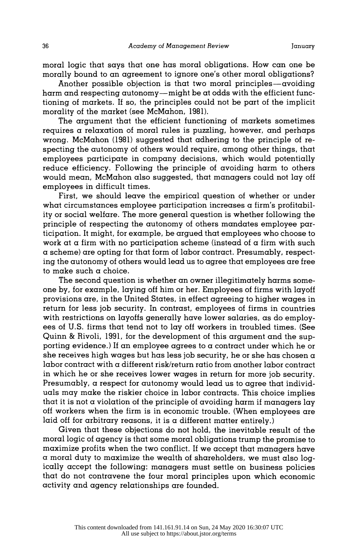moral logic that says that one has moral obligations. How can one be morally bound to an agreement to ignore one's other moral obligations?

Another possible objection is that two moral principles—avoiding harm and respecting autonomy—might be at odds with the efficient func tioning of markets. If so, the principles could not be part of the implicit morality of the market (see McMahon, 1981).

 The argument that the efficient functioning of markets sometimes requires a relaxation of moral rules is puzzling, however, and perhaps wrong. McMahon (1981) suggested that adhering to the principle of re specting the autonomy of others would require, among other things, that employees participate in company decisions, which would potentially reduce efficiency. Following the principle of avoiding harm to others would mean, McMahon also suggested, that managers could not lay off employees in difficult times.

 First, we should leave the empirical question of whether or under what circumstances employee participation increases a firm's profitabil ity or social welfare. The more general question is whether following the principle of respecting the autonomy of others mandates employee par ticipation. It might, for example, be argued that employees who choose to work at a firm with no participation scheme (instead of a firm with such a scheme) are opting for that form of labor contract. Presumably, respect ing the autonomy of others would lead us to agree that employees are free to make such a choice.

 The second question is whether an owner illegitimately harms some one by, for example, laying off him or her. Employees of firms with layoff provisions are, in the United States, in effect agreeing to higher wages in return for less job security. In contrast, employees of firms in countries with restrictions on layoffs generally have lower salaries, as do employ ees of U.S. firms that tend not to lay off workers in troubled times. (See Quinn & Rivoli, 1991, for the development of this argument and the sup porting evidence.) If an employee agrees to a contract under which he or she receives high wages but has less job security, he or she has chosen  $\alpha$  labor contract with a different risk/return ratio from another labor contract in which he or she receives lower wages in return for more job security. Presumably, a respect for autonomy would lead us to agree that individ uals may make the riskier choice in labor contracts. This choice implies that it is not a violation of the principle of avoiding harm if managers lay off workers when the firm is in economic trouble. (When employees are laid off for arbitrary reasons, it is a different matter entirely.)

 Given that these objections do not hold, the inevitable result of the moral logic of agency is that some moral obligations trump the promise to maximize profits when the two conflict. If we accept that managers have a moral duty to maximize the wealth of shareholders, we must also log ically accept the following: managers must settle on business policies that do not contravene the four moral principles upon which economic activity and agency relationships are founded.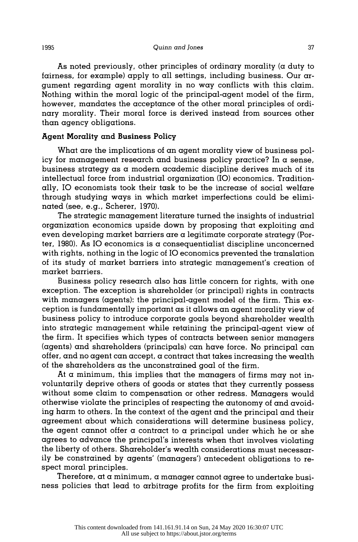1995 Quinn and Jones 37

As noted previously, other principles of ordinary morality ( $\alpha$  duty to fairness, for example) apply to all settings, including business. Our ar gument regarding agent morality in no way conflicts with this claim. Nothing within the moral logic of the principal-agent model of the firm, however, mandates the acceptance of the other moral principles of ordi nary morality. Their moral force is derived instead from sources other than agency obligations.

# Agent Morality and Business Policy

 What are the implications of an agent morality view of business pol icy for management research and business policy practice? In a sense, business strategy as a modern academic discipline derives much of its intellectual force from industrial organization (IO) economics. Tradition ally, IO economists took their task to be the increase of social welfare through studying ways in which market imperfections could be elimi nated (see, e.g., Scherer, 1970).

 The strategic management literature turned the insights of industrial organization economics upside down by proposing that exploiting and even developing market barriers are a legitimate corporate strategy (Por ter, 1980). As IO economics is a consequentialist discipline unconcerned with rights, nothing in the logic of IO economics prevented the translation of its study of market barriers into strategic management's creation of market barriers.

 Business policy research also has little concern for rights, with one exception. The exception is shareholder (or principal) rights in contracts with managers (agents): the principal-agent model of the firm. This ex ception is fundamentally important as it allows an agent morality view of business policy to introduce corporate goals beyond shareholder wealth into strategic management while retaining the principal-agent view of the firm. It specifies which types of contracts between senior managers (agents) and shareholders (principals) can have force. No principal can offer, and no agent can accept, a contract that takes increasing the wealth of the shareholders as the unconstrained goal of the firm.

At  $\alpha$  minimum, this implies that the managers of firms may not in voluntarily deprive others of goods or states that they currently possess without some claim to compensation or other redress. Managers would otherwise violate the principles of respecting the autonomy of and avoid ing harm to others. In the context of the agent and the principal and their agreement about which considerations will determine business policy, the agent cannot offer a contract to a principal under which he or she agrees to advance the principal's interests when that involves violating the liberty of others. Shareholder's wealth considerations must necessar ily be constrained by agents' (managers') antecedent obligations to re spect moral principles.

 Therefore, at a minimum, a manager cannot agree to undertake busi ness policies that lead to arbitrage profits for the firm from exploiting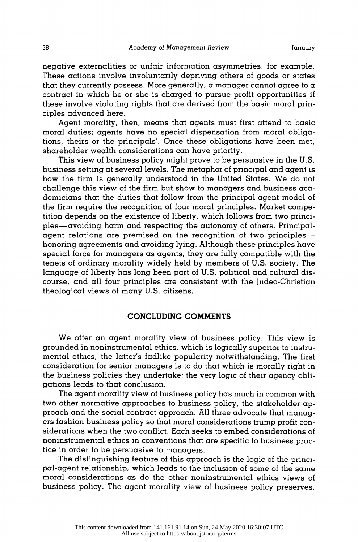negative externalities or unfair information asymmetries, for example. These actions involve involuntarily depriving others of goods or states that they currently possess. More generally, a manager cannot agree to  $\alpha$  contract in which he or she is charged to pursue profit opportunities if these involve violating rights that are derived from the basic moral prin ciples advanced here.

 Agent morality, then, means that agents must first attend to basic moral duties; agents have no special dispensation from moral obliga tions, theirs or the principals'. Once these obligations have been met, shareholder wealth considerations can have priority.

 This view of business policy might prove to be persuasive in the U.S. business setting at several levels. The metaphor of principal and agent is how the firm is generally understood in the United States. We do not challenge this view of the firm but show to managers and business aca demicians that the duties that follow from the principal-agent model of the firm require the recognition of four moral principles. Market compe tition depends on the existence of liberty, which follows from two princi  $p$ les $-\alpha$ voiding harm and respecting the autonomy of others. Principalagent relations are premised on the recognition of two principles honoring agreements and avoiding lying. Although these principles have special force for managers as agents, they are fully compatible with the tenets of ordinary morality widely held by members of U.S. society. The language of liberty has long been part of U.S. political and cultural dis course, and all four principles are consistent with the Judeo-Christian theological views of many U.S. citizens.

# CONCLUDING COMMENTS

 We offer an agent morality view of business policy. This view is grounded in noninstrumental ethics, which is logically superior to instru mental ethics, the latter's fadlike popularity notwithstanding. The first consideration for senior managers is to do that which is morally right in the business policies they undertake; the very logic of their agency obli gations leads to that conclusion.

 The agent morality view of business policy has much in common with two other normative approaches to business policy, the stakeholder ap proach and the social contract approach. All three advocate that manag ers fashion business policy so that moral considerations trump profit con siderations when the two conflict. Each seeks to embed considerations of noninstrumental ethics in conventions that are specific to business prac tice in order to be persuasive to managers.

 The distinguishing feature of this approach is the logic of the princi pal-agent relationship, which leads to the inclusion of some of the same moral considerations as do the other noninstrumental ethics views of business policy. The agent morality view of business policy preserves,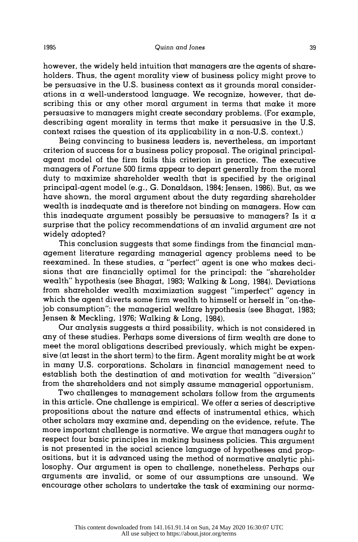however, the widely held intuition that managers are the agents of share holders. Thus, the agent morality view of business policy might prove to be persuasive in the U.S. business context as it grounds moral consider ations in a well-understood language. We recognize, however, that de scribing this or any other moral argument in terms that make it more persuasive to managers might create secondary problems. (For example, describing agent morality in terms that make it persuasive in the U.S. context raises the question of its applicability in  $\alpha$  non-U.S. context.)

 Being convincing to business leaders is, nevertheless, an important criterion of success for  $\alpha$  business policy proposal. The original principal agent model of the firm fails this criterion in practice. The executive managers of Fortune 500 firms appear to depart generally from the moral duty to maximize shareholder wealth that is specified by the original principal-agent model (e.g., G. Donaldson, 1984; Jensen, 1986). But, as we have shown, the moral argument about the duty regarding shareholder wealth is inadequate and is therefore not binding on managers. How can this inadequate argument possibly be persuasive to managers? Is it  $\alpha$  surprise that the policy recommendations of an invalid argument are not widely adopted?

 This conclusion suggests that some findings from the financial man agement literature regarding managerial agency problems need to be reexamined. In these studies, a "perfect" agent is one who makes deci sions that are financially optimal for the principal: the "shareholder wealth" hypothesis (see Bhagat, 1983; Walking & Long, 1984). Deviations from shareholder wealth maximization suggest "imperfect" agency in which the agent diverts some firm wealth to himself or herself in "on-the job consumption": the managerial welfare hypothesis (see Bhagat, 1983; Jensen & Meckling, 1976; Walking & Long, 1984).

 Our analysis suggests a third possibility, which is not considered in any of these studies. Perhaps some diversions of firm wealth are done to meet the moral obligations described previously, which might be expen sive (at least in the short term) to the firm. Agent morality might be at work in many U.S. corporations. Scholars in financial management need to establish both the destination of and motivation for wealth "diversion" from the shareholders and not simply assume managerial opportunism.

 Two challenges to management scholars follow from the arguments in this article. One challenge is empirical. We offer a series of descriptive propositions about the nature and effects of instrumental ethics, which other scholars may examine and, depending on the evidence, refute. The more important challenge is normative. We argue that managers ought to respect four basic principles in making business policies. This argument is not presented in the social science language of hypotheses and prop ositions, but it is advanced using the method of normative analytic phi losophy. Our argument is open to challenge, nonetheless. Perhaps our arguments are invalid, or some of our assumptions are unsound. We encourage other scholars to undertake the task of examining our norma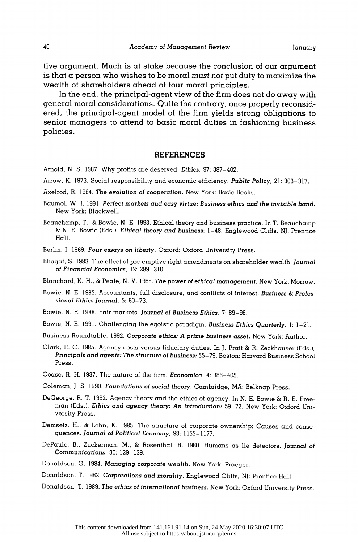tive argument. Much is at stake because the conclusion of our argument is that a person who wishes to be moral must not put duty to maximize the wealth of shareholders ahead of four moral principles.

 In the end, the principal-agent view of the firm does not do away with general moral considerations. Quite the contrary, once properly reconsid ered, the principal-agent model of the firm yields strong obligations to senior managers to attend to basic moral duties in fashioning business policies.

#### REFERENCES

- Arnold, N. S. 1987. Why profits are deserved. Ethics, 97: 387-402.
- Arrow, K. 1973. Social responsibility and economic efficiency. Public Policy, 21: 303-317.
- Axelrod, R. 1984. The evolution of cooperation. New York: Basic Books.
- Baumol, W. J. 1991. Perfect markets and easy virtue: Business ethics and the invisible hand. New York: Blackwell.
- Beauchamp, T., & Bowie, N. E. 1993. Ethical theory and business practice. In T. Beauchamp & N. E. Bowie (Eds.), Ethical theory and business: 1-48. Englewood Cliffs, NJ: Prentice Hall.
- Berlin, I. 1969. Four essays on liberty. Oxford: Oxford University Press.
- Bhagat, S. 1983. The effect of pre-emptive right amendments on shareholder wealth. Journal of Financial Economics, 12: 289-310.
- Blanchard, K. H., & Peale, N. V. 1988. The power of ethical management. New York: Morrow.
- Bowie, N. E. 1985. Accountants, full disclosure, and conflicts of interest. Business & Professional Ethics Journal, 5: 60-73.
- Bowie, N. E. 1988. Fair markets. Journal of Business Ethics, 7: 89-98.
- Bowie, N. E. 1991. Challenging the egoistic paradigm. Business Ethics Quarterly, 1: 1-21.
- Business Roundtable. 1992. Corporate ethics: A prime business asset. New York: Author.
- Clark, R. C. 1985. Agency costs versus fiduciary duties. In J. Pratt & R. Zeckhauser (Eds.), Principals and agents: The structure of business: 55-79. Boston: Harvard Business School Press.
- Coase, R. H. 1937. The nature of the firm. Economica, 4: 386-405.
- Coleman, J. S. 1990. Foundations of social theory. Cambridge, MA: Belknap Press.
- DeGeorge, R. T. 1992. Agency theory and the ethics of agency. In N. E. Bowie & R. E. Free man (Eds.), Ethics and agency theory: An introduction: 59-72. New York: Oxford Uni versity Press.
- Demsetz, H., & Lehn, K. 1985. The structure of corporate ownership: Causes and conse quences. Journal of Political Economy, 93: 1155-1177.
- DePaulo, B., Zuckerman, M., & Rosenthal, R. 1980. Humans as lie detectors. Journal of Communications, 30: 129-139.
- Donaldson, G. 1984. Managing corporate wealth. New York: Praeger.
- Donaldson, T. 1982. Corporations and morality. Englewood Cliffs, NJ: Prentice Hall.
- Donaldson, T. 1989. The ethics of international business. New York: Oxford University Press.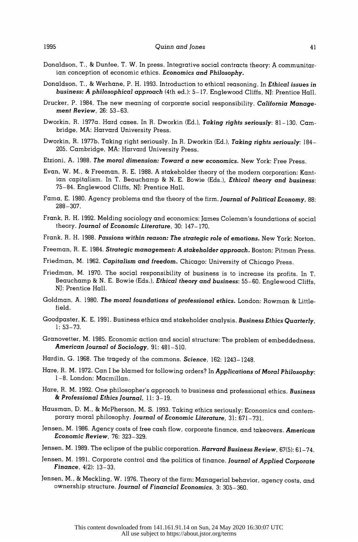- Donaldson, T., & Dunfee, T. W. In press. Integrative social contracts theory: A communitar ian conception of economic ethics. Economics and Philosophy.
- Donaldson, T., & Werhane, P. H. 1993. Introduction to ethical reasoning. In Ethical issues in business: A philosophical approach (4th ed.): 5-17. Englewood Cliffs, NJ: Prentice Hall.
- Drucker, P. 1984. The new meaning of corporate social responsibility. California Management Review, 26: 53-63.
- Dworkin, R. 1977a. Hard cases. In R. Dworkin (Ed.), Taking rights seriously: 81-130. Cam bridge, MA: Harvard University Press.
- Dworkin, R. 1977b. Taking right seriously. In R. Dworkin (Ed.). Taking rights seriously: 184- 205. Cambridge, MA: Harvard University Press.
- Etzioni, A. 1988. The moral dimension: Toward a new economics. New York: Free Press.
- Evan, W. M., & Freeman, R. E. 1988. A stakeholder theory of the modern corporation: Kant ian capitalism. In T. Beauchamp & N. E. Bowie (Eds.), Ethical theory and business: 75-84. Englewood Cliffs, NJ: Prentice Hall.
- Fama, E. 1980. Agency problems and the theory of the firm. Journal of Political Economy, 88: 288-307.
- Frank, R. H. 1992. Melding sociology and economics: James Coleman's foundations of social theory. Journal of Economic Literature, 30: 147-170.
- Frank, R. H. 1988. Passions within reason: The strategic role of emotions. New York: Norton.
- Freeman, R. E. 1984. Strategic management: A stakeholder approach. Boston: Pitman Press.
- Friedman, M. 1962. Capitalism and freedom. Chicago: University of Chicago Press.
- Friedman, M. 1970. The social responsibility of business is to increase its profits. In T. Beauchamp & N. E. Bowie (Eds.), Ethical theory and business: 55-60. Englewood Cliffs, NJ: Prentice Hall.
- Goldman, A. 1980. The moral foundations of professional ethics. London: Rowman & Little field.
- Goodpaster, K. E. 1991. Business ethics and stakeholder analysis. Business Ethics Quarterly, 1: 53-73.
- Granovetter, M. 1985. Economic action and social structure: The problem of embeddedness. American Journal of Sociology, 91: 481-510.
- Hardin, G. 1968. The tragedy of the commons. Science, 162: 1243-1248.
- Hare, R. M. 1972. Can I be blamed for following orders? In Applications of Moral Philosophy: 1-8. London: Macmillan.
- Hare, R. M. 1992. One philosopher's approach to business and professional ethics. Business & Professional Ethics Journal, 11: 3-19.
- Hausman, D. M., & McPherson, M. S. 1993. Taking ethics seriously: Economics and contem porary moral philosophy. Journal of Economic Literature, 31: 671-731.
- Jensen, M. 1986. Agency costs of free cash flow, corporate finance, and takeovers. American Economic Review, 76: 323-329.
- Jensen, M. 1989. The eclipse of the public corporation. Harvard Business Review, 67(5): 61-74.
- Jensen, M. 1991. Corporate control and the politics of finance. Journal of Applied Corporate Finance, 4(2): 13-33.
- Jensen, M., & Meckling, W. 1976. Theory of the firm: Managerial behavior, agency costs, and ownership structure. Journal of Financial Economics, 3: 305-360.